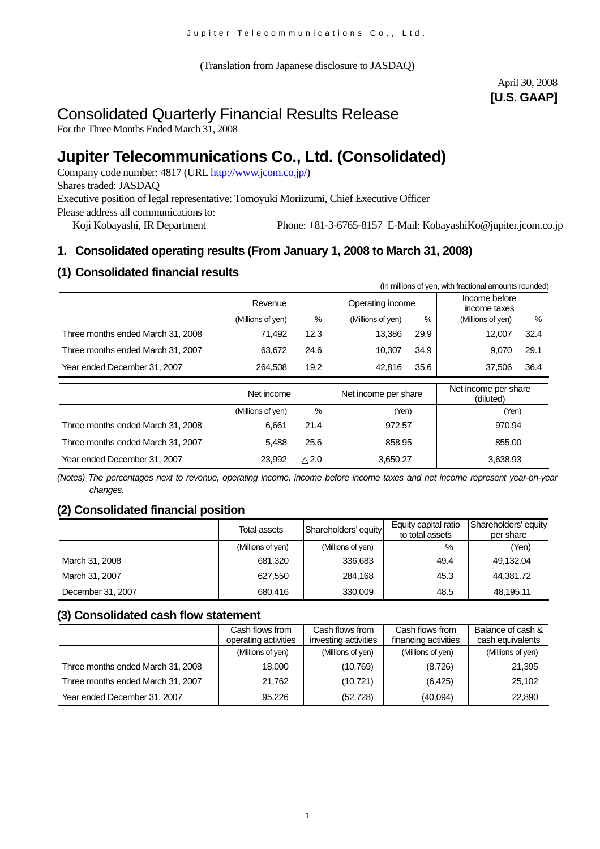(Translation from Japanese disclosure to JASDAQ)

# April 30, 2008 **[U.S. GAAP]**

# Consolidated Quarterly Financial Results Release

For the Three Months Ended March 31, 2008

# **Jupiter Telecommunications Co., Ltd. (Consolidated)**

Company code number: 4817 (URL http://www.jcom.co.jp/) Shares traded: JASDAQ Executive position of legal representative: Tomoyuki Moriizumi, Chief Executive Officer Please address all communications to: Koji Kobayashi, IR Department Phone: +81-3-6765-8157 E-Mail: KobayashiKo@jupiter.jcom.co.jp

# **1. Consolidated operating results (From January 1, 2008 to March 31, 2008)**

# **(1) Consolidated financial results**

|                                   |                   |               |                      |      | (In millions of yen, with fractional amounts rounded) |      |
|-----------------------------------|-------------------|---------------|----------------------|------|-------------------------------------------------------|------|
|                                   | Revenue           |               | Operating income     |      | Income before<br>income taxes                         |      |
|                                   | (Millions of yen) | %             | (Millions of yen)    | %    | (Millions of yen)                                     | $\%$ |
| Three months ended March 31, 2008 | 71,492            | 12.3          | 13,386               | 29.9 | 12.007                                                | 32.4 |
| Three months ended March 31, 2007 | 63,672            | 24.6          | 10,307               | 34.9 | 9,070                                                 | 29.1 |
| Year ended December 31, 2007      | 264.508           | 19.2          | 42.816               | 35.6 | 37.506                                                | 36.4 |
|                                   |                   |               |                      |      |                                                       |      |
|                                   | Net income        |               | Net income per share |      | Net income per share<br>(diluted)                     |      |
|                                   | (Millions of yen) | $\frac{9}{6}$ | (Yen)                |      | (Yen)                                                 |      |
| Three months ended March 31, 2008 | 6,661             | 21.4          | 972.57               |      | 970.94                                                |      |
| Three months ended March 31, 2007 | 5,488             | 25.6          | 858.95               |      | 855.00                                                |      |

*(Notes) The percentages next to revenue, operating income, income before income taxes and net income represent year-on-year changes.*

# **(2) Consolidated financial position**

|                   | Total assets      | Shareholders' equity | Equity capital ratio<br>to total assets | Shareholders' equity<br>per share |
|-------------------|-------------------|----------------------|-----------------------------------------|-----------------------------------|
|                   | (Millions of yen) | (Millions of yen)    | %                                       | (Yen)                             |
| March 31, 2008    | 681.320           | 336,683              | 49.4                                    | 49,132.04                         |
| March 31, 2007    | 627.550           | 284.168              | 45.3                                    | 44.381.72                         |
| December 31, 2007 | 680.416           | 330,009              | 48.5                                    | 48,195.11                         |

# **(3) Consolidated cash flow statement**

|                                   | Cash flows from<br>operating activities | Cash flows from<br>investing activities | Cash flows from<br>financing activities | Balance of cash &<br>cash equivalents |
|-----------------------------------|-----------------------------------------|-----------------------------------------|-----------------------------------------|---------------------------------------|
|                                   | (Millions of yen)                       | (Millions of yen)                       | (Millions of yen)                       | (Millions of yen)                     |
|                                   |                                         |                                         |                                         |                                       |
| Three months ended March 31, 2008 | 18,000                                  | (10, 769)                               | (8,726)                                 | 21,395                                |
| Three months ended March 31, 2007 | 21.762                                  | (10, 721)                               | (6, 425)                                | 25,102                                |
| Year ended December 31, 2007      | 95.226                                  | (52, 728)                               | (40,094)                                | 22,890                                |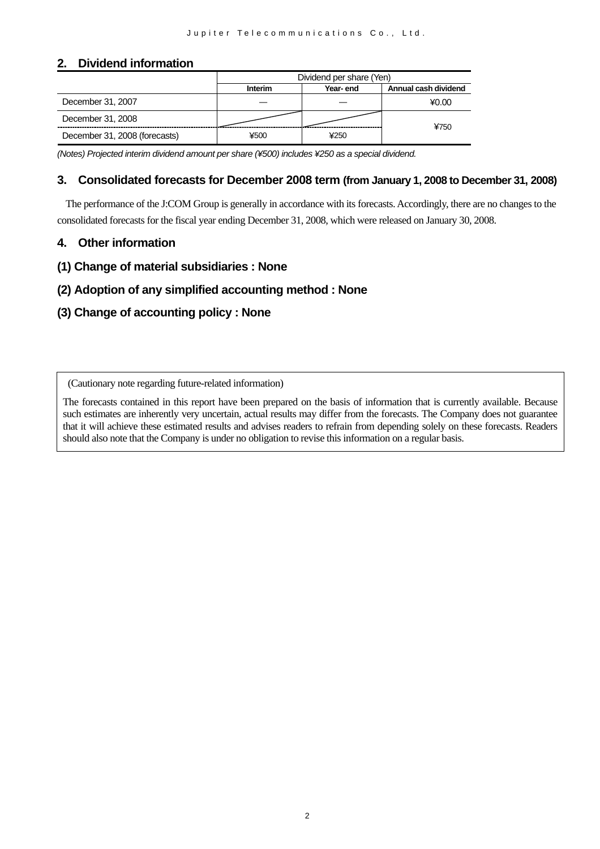# **2. Dividend information**

|                               | Dividend per share (Yen) |          |                      |  |
|-------------------------------|--------------------------|----------|----------------------|--|
|                               | <b>Interim</b>           | Year-end | Annual cash dividend |  |
| December 31, 2007             |                          |          | ¥0.00                |  |
| December 31, 2008             |                          |          | ¥750                 |  |
| December 31, 2008 (forecasts) | ¥500                     | ¥250     |                      |  |

*(Notes) Projected interim dividend amount per share (¥500) includes ¥250 as a special dividend.*

## **3. Consolidated forecasts for December 2008 term (from January 1, 2008 to December 31, 2008)**

The performance of the J:COM Group is generally in accordance with its forecasts. Accordingly, there are no changes to the consolidated forecasts for the fiscal year ending December 31, 2008, which were released on January 30, 2008.

## **4. Other information**

**(1) Change of material subsidiaries : None** 

# **(2) Adoption of any simplified accounting method : None**

# **(3) Change of accounting policy : None**

(Cautionary note regarding future-related information)

The forecasts contained in this report have been prepared on the basis of information that is currently available. Because such estimates are inherently very uncertain, actual results may differ from the forecasts. The Company does not guarantee that it will achieve these estimated results and advises readers to refrain from depending solely on these forecasts. Readers should also note that the Company is under no obligation to revise this information on a regular basis.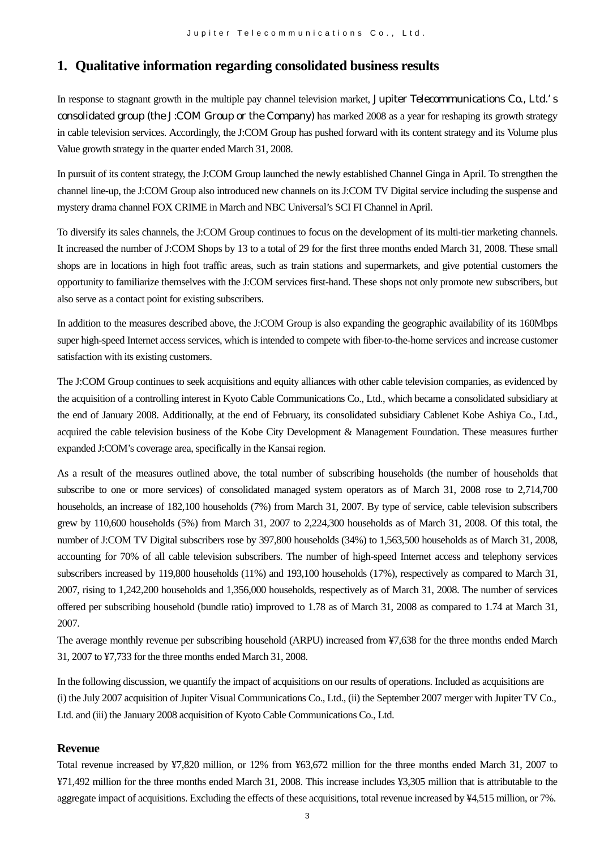# **1. Qualitative information regarding consolidated business results**

In response to stagnant growth in the multiple pay channel television market, Jupiter Telecommunications Co., Ltd. s consolidated group (the J:COM Group or the Company) has marked 2008 as a year for reshaping its growth strategy in cable television services. Accordingly, the J:COM Group has pushed forward with its content strategy and its Volume plus Value growth strategy in the quarter ended March 31, 2008.

In pursuit of its content strategy, the J:COM Group launched the newly established Channel Ginga in April. To strengthen the channel line-up, the J:COM Group also introduced new channels on its J:COM TV Digital service including the suspense and mystery drama channel FOX CRIME in March and NBC Universal's SCI FI Channel in April.

To diversify its sales channels, the J:COM Group continues to focus on the development of its multi-tier marketing channels. It increased the number of J:COM Shops by 13 to a total of 29 for the first three months ended March 31, 2008. These small shops are in locations in high foot traffic areas, such as train stations and supermarkets, and give potential customers the opportunity to familiarize themselves with the J:COM services first-hand. These shops not only promote new subscribers, but also serve as a contact point for existing subscribers.

In addition to the measures described above, the J:COM Group is also expanding the geographic availability of its 160Mbps super high-speed Internet access services, which is intended to compete with fiber-to-the-home services and increase customer satisfaction with its existing customers.

The J:COM Group continues to seek acquisitions and equity alliances with other cable television companies, as evidenced by the acquisition of a controlling interest in Kyoto Cable Communications Co., Ltd., which became a consolidated subsidiary at the end of January 2008. Additionally, at the end of February, its consolidated subsidiary Cablenet Kobe Ashiya Co., Ltd., acquired the cable television business of the Kobe City Development & Management Foundation. These measures further expanded J:COM's coverage area, specifically in the Kansai region.

As a result of the measures outlined above, the total number of subscribing households (the number of households that subscribe to one or more services) of consolidated managed system operators as of March 31, 2008 rose to 2,714,700 households, an increase of 182,100 households (7%) from March 31, 2007. By type of service, cable television subscribers grew by 110,600 households (5%) from March 31, 2007 to 2,224,300 households as of March 31, 2008. Of this total, the number of J:COM TV Digital subscribers rose by 397,800 households (34%) to 1,563,500 households as of March 31, 2008, accounting for 70% of all cable television subscribers. The number of high-speed Internet access and telephony services subscribers increased by 119,800 households (11%) and 193,100 households (17%), respectively as compared to March 31, 2007, rising to 1,242,200 households and 1,356,000 households, respectively as of March 31, 2008. The number of services offered per subscribing household (bundle ratio) improved to 1.78 as of March 31, 2008 as compared to 1.74 at March 31, 2007.

The average monthly revenue per subscribing household (ARPU) increased from ¥7,638 for the three months ended March 31, 2007 to ¥7,733 for the three months ended March 31, 2008.

In the following discussion, we quantify the impact of acquisitions on our results of operations. Included as acquisitions are (i) the July 2007 acquisition of Jupiter Visual Communications Co., Ltd., (ii) the September 2007 merger with Jupiter TV Co., Ltd. and (iii) the January 2008 acquisition of Kyoto Cable Communications Co., Ltd.

#### **Revenue**

Total revenue increased by ¥7,820 million, or 12% from ¥63,672 million for the three months ended March 31, 2007 to ¥71,492 million for the three months ended March 31, 2008. This increase includes ¥3,305 million that is attributable to the aggregate impact of acquisitions. Excluding the effects of these acquisitions, total revenue increased by ¥4,515 million, or 7%.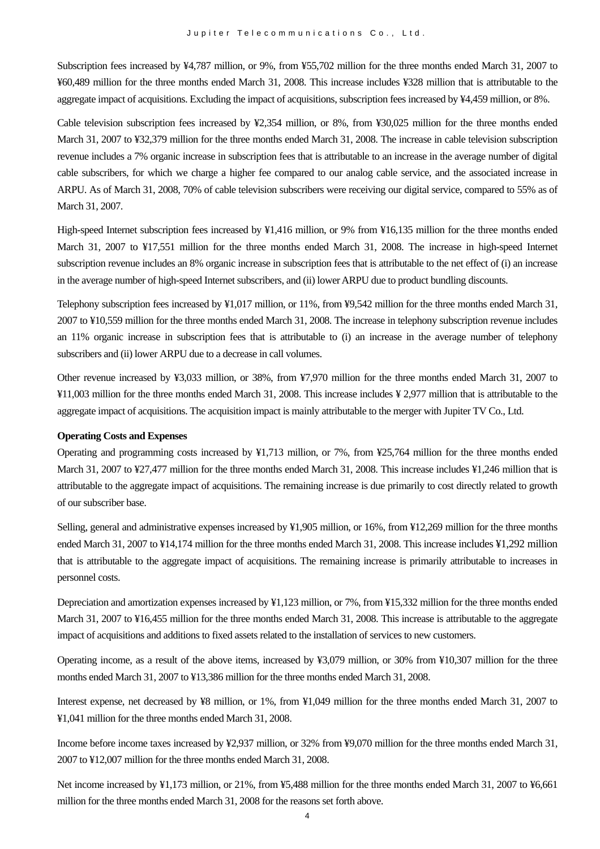Subscription fees increased by ¥4,787 million, or 9%, from ¥55,702 million for the three months ended March 31, 2007 to ¥60,489 million for the three months ended March 31, 2008. This increase includes ¥328 million that is attributable to the aggregate impact of acquisitions. Excluding the impact of acquisitions, subscription fees increased by ¥4,459 million, or 8%.

Cable television subscription fees increased by ¥2,354 million, or 8%, from ¥30,025 million for the three months ended March 31, 2007 to ¥32,379 million for the three months ended March 31, 2008. The increase in cable television subscription revenue includes a 7% organic increase in subscription fees that is attributable to an increase in the average number of digital cable subscribers, for which we charge a higher fee compared to our analog cable service, and the associated increase in ARPU. As of March 31, 2008, 70% of cable television subscribers were receiving our digital service, compared to 55% as of March 31, 2007.

High-speed Internet subscription fees increased by ¥1,416 million, or 9% from ¥16,135 million for the three months ended March 31, 2007 to ¥17,551 million for the three months ended March 31, 2008. The increase in high-speed Internet subscription revenue includes an 8% organic increase in subscription fees that is attributable to the net effect of (i) an increase in the average number of high-speed Internet subscribers, and (ii) lower ARPU due to product bundling discounts.

Telephony subscription fees increased by ¥1,017 million, or 11%, from ¥9,542 million for the three months ended March 31, 2007 to ¥10,559 million for the three months ended March 31, 2008. The increase in telephony subscription revenue includes an 11% organic increase in subscription fees that is attributable to (i) an increase in the average number of telephony subscribers and (ii) lower ARPU due to a decrease in call volumes.

Other revenue increased by ¥3,033 million, or 38%, from ¥7,970 million for the three months ended March 31, 2007 to ¥11,003 million for the three months ended March 31, 2008. This increase includes ¥ 2,977 million that is attributable to the aggregate impact of acquisitions. The acquisition impact is mainly attributable to the merger with Jupiter TV Co., Ltd.

#### **Operating Costs and Expenses**

Operating and programming costs increased by ¥1,713 million, or 7%, from ¥25,764 million for the three months ended March 31, 2007 to ¥27,477 million for the three months ended March 31, 2008. This increase includes ¥1,246 million that is attributable to the aggregate impact of acquisitions. The remaining increase is due primarily to cost directly related to growth of our subscriber base.

Selling, general and administrative expenses increased by ¥1,905 million, or 16%, from ¥12,269 million for the three months ended March 31, 2007 to ¥14,174 million for the three months ended March 31, 2008. This increase includes ¥1,292 million that is attributable to the aggregate impact of acquisitions. The remaining increase is primarily attributable to increases in personnel costs.

Depreciation and amortization expenses increased by ¥1,123 million, or 7%, from ¥15,332 million for the three months ended March 31, 2007 to ¥16,455 million for the three months ended March 31, 2008. This increase is attributable to the aggregate impact of acquisitions and additions to fixed assets related to the installation of services to new customers.

Operating income, as a result of the above items, increased by ¥3,079 million, or 30% from ¥10,307 million for the three months ended March 31, 2007 to ¥13,386 million for the three months ended March 31, 2008.

Interest expense, net decreased by ¥8 million, or 1%, from ¥1,049 million for the three months ended March 31, 2007 to ¥1,041 million for the three months ended March 31, 2008.

Income before income taxes increased by ¥2,937 million, or 32% from ¥9,070 million for the three months ended March 31, 2007 to ¥12,007 million for the three months ended March 31, 2008.

Net income increased by ¥1,173 million, or 21%, from ¥5,488 million for the three months ended March 31, 2007 to ¥6,661 million for the three months ended March 31, 2008 for the reasons set forth above.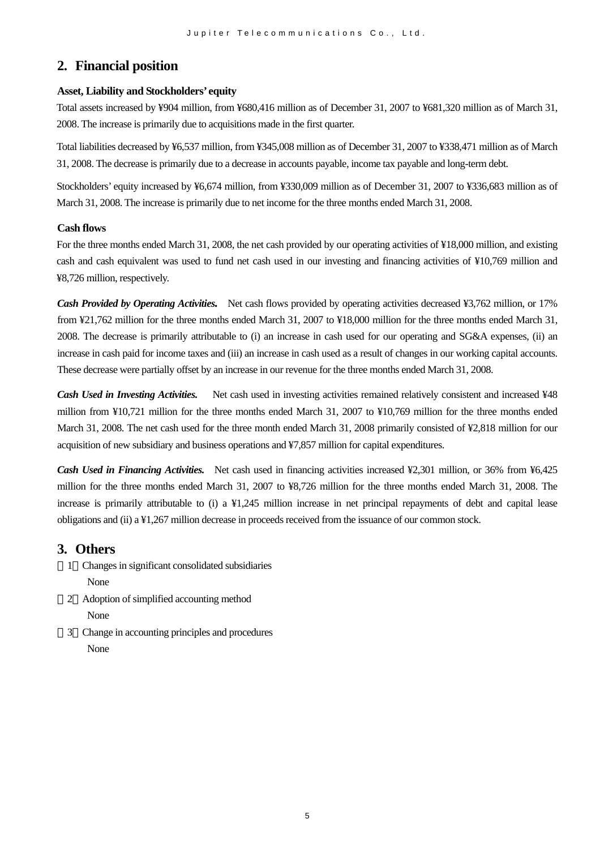# **2. Financial position**

#### **Asset, Liability and Stockholders' equity**

Total assets increased by ¥904 million, from ¥680,416 million as of December 31, 2007 to ¥681,320 million as of March 31, 2008. The increase is primarily due to acquisitions made in the first quarter.

Total liabilities decreased by ¥6,537 million, from ¥345,008 million as of December 31, 2007 to ¥338,471 million as of March 31, 2008. The decrease is primarily due to a decrease in accounts payable, income tax payable and long-term debt.

Stockholders' equity increased by ¥6,674 million, from ¥330,009 million as of December 31, 2007 to ¥336,683 million as of March 31, 2008. The increase is primarily due to net income for the three months ended March 31, 2008.

### **Cash flows**

For the three months ended March 31, 2008, the net cash provided by our operating activities of ¥18,000 million, and existing cash and cash equivalent was used to fund net cash used in our investing and financing activities of ¥10,769 million and ¥8,726 million, respectively.

*Cash Provided by Operating Activities.* Net cash flows provided by operating activities decreased ¥3,762 million, or 17% from ¥21,762 million for the three months ended March 31, 2007 to ¥18,000 million for the three months ended March 31, 2008. The decrease is primarily attributable to (i) an increase in cash used for our operating and SG&A expenses, (ii) an increase in cash paid for income taxes and (iii) an increase in cash used as a result of changes in our working capital accounts. These decrease were partially offset by an increase in our revenue for the three months ended March 31, 2008.

*Cash Used in Investing Activities.* Net cash used in investing activities remained relatively consistent and increased ¥48 million from ¥10,721 million for the three months ended March 31, 2007 to ¥10,769 million for the three months ended March 31, 2008. The net cash used for the three month ended March 31, 2008 primarily consisted of ¥2,818 million for our acquisition of new subsidiary and business operations and ¥7,857 million for capital expenditures.

*Cash Used in Financing Activities.* Net cash used in financing activities increased ¥2,301 million, or 36% from ¥6,425 million for the three months ended March 31, 2007 to ¥8,726 million for the three months ended March 31, 2008. The increase is primarily attributable to (i) a ¥1,245 million increase in net principal repayments of debt and capital lease obligations and (ii) a ¥1,267 million decrease in proceeds received from the issuance of our common stock.

# **3. Others**

- 1 Changes in significant consolidated subsidiaries None
- 2 Adoption of simplified accounting method None
- 3 Change in accounting principles and procedures None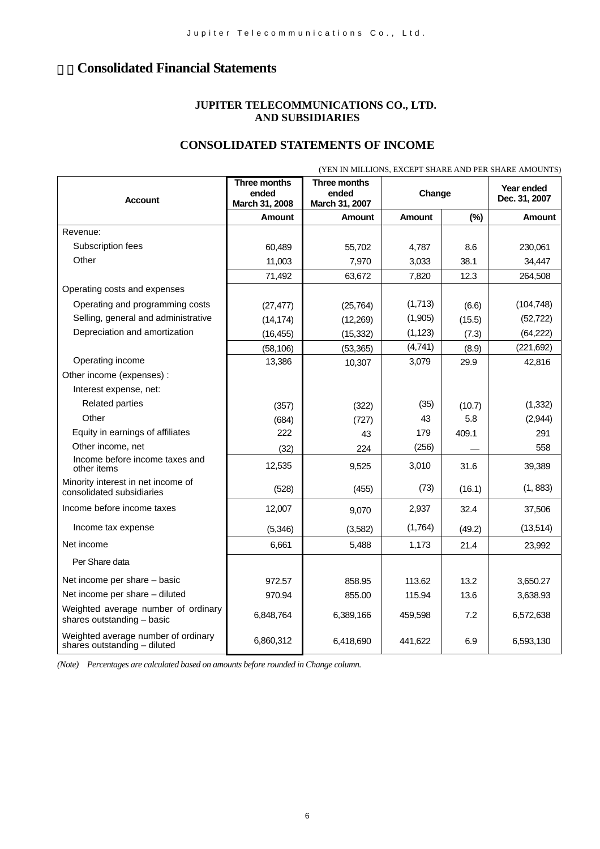# 4.**Consolidated Financial Statements**

### **JUPITER TELECOMMUNICATIONS CO., LTD. AND SUBSIDIARIES**

# **CONSOLIDATED STATEMENTS OF INCOME**

|                                                                     | (YEN IN MILLIONS, EXCEPT SHARE AND PER SHARE AMOUNTS) |                                         |               |        |                             |  |
|---------------------------------------------------------------------|-------------------------------------------------------|-----------------------------------------|---------------|--------|-----------------------------|--|
| <b>Account</b>                                                      | <b>Three months</b><br>ended<br>March 31, 2008        | Three months<br>ended<br>March 31, 2007 | Change        |        | Year ended<br>Dec. 31, 2007 |  |
|                                                                     | <b>Amount</b>                                         | <b>Amount</b>                           | <b>Amount</b> | (%)    | Amount                      |  |
| Revenue:                                                            |                                                       |                                         |               |        |                             |  |
| Subscription fees                                                   | 60,489                                                | 55,702                                  | 4,787         | 8.6    | 230,061                     |  |
| Other                                                               | 11,003                                                | 7.970                                   | 3,033         | 38.1   | 34,447                      |  |
|                                                                     | 71,492                                                | 63,672                                  | 7,820         | 12.3   | 264,508                     |  |
| Operating costs and expenses                                        |                                                       |                                         |               |        |                             |  |
| Operating and programming costs                                     | (27, 477)                                             | (25, 764)                               | (1,713)       | (6.6)  | (104, 748)                  |  |
| Selling, general and administrative                                 | (14, 174)                                             | (12,269)                                | (1,905)       | (15.5) | (52, 722)                   |  |
| Depreciation and amortization                                       | (16, 455)                                             | (15, 332)                               | (1, 123)      | (7.3)  | (64, 222)                   |  |
|                                                                     | (58, 106)                                             | (53, 365)                               | (4,741)       | (8.9)  | (221, 692)                  |  |
| Operating income                                                    | 13,386                                                | 10,307                                  | 3,079         | 29.9   | 42,816                      |  |
| Other income (expenses) :                                           |                                                       |                                         |               |        |                             |  |
| Interest expense, net:                                              |                                                       |                                         |               |        |                             |  |
| <b>Related parties</b>                                              | (357)                                                 | (322)                                   | (35)          | (10.7) | (1, 332)                    |  |
| Other                                                               | (684)                                                 | (727)                                   | 43            | 5.8    | (2,944)                     |  |
| Equity in earnings of affiliates                                    | 222                                                   | 43                                      | 179           | 409.1  | 291                         |  |
| Other income, net                                                   | (32)                                                  | 224                                     | (256)         |        | 558                         |  |
| Income before income taxes and<br>other items                       | 12,535                                                | 9,525                                   | 3,010         | 31.6   | 39,389                      |  |
| Minority interest in net income of<br>consolidated subsidiaries     | (528)                                                 | (455)                                   | (73)          | (16.1) | (1, 883)                    |  |
| Income before income taxes                                          | 12,007                                                | 9,070                                   | 2,937         | 32.4   | 37,506                      |  |
| Income tax expense                                                  | (5,346)                                               | (3,582)                                 | (1,764)       | (49.2) | (13, 514)                   |  |
| Net income                                                          | 6,661                                                 | 5,488                                   | 1,173         | 21.4   | 23,992                      |  |
| Per Share data                                                      |                                                       |                                         |               |        |                             |  |
| Net income per share - basic                                        | 972.57                                                | 858.95                                  | 113.62        | 13.2   | 3,650.27                    |  |
| Net income per share - diluted                                      | 970.94                                                | 855.00                                  | 115.94        | 13.6   | 3,638.93                    |  |
| Weighted average number of ordinary<br>shares outstanding - basic   | 6,848,764                                             | 6,389,166                               | 459,598       | 7.2    | 6,572,638                   |  |
| Weighted average number of ordinary<br>shares outstanding - diluted | 6,860,312                                             | 6,418,690                               | 441.622       | 6.9    | 6,593,130                   |  |

*(Note) Percentages are calculated based on amounts before rounded in Change column.*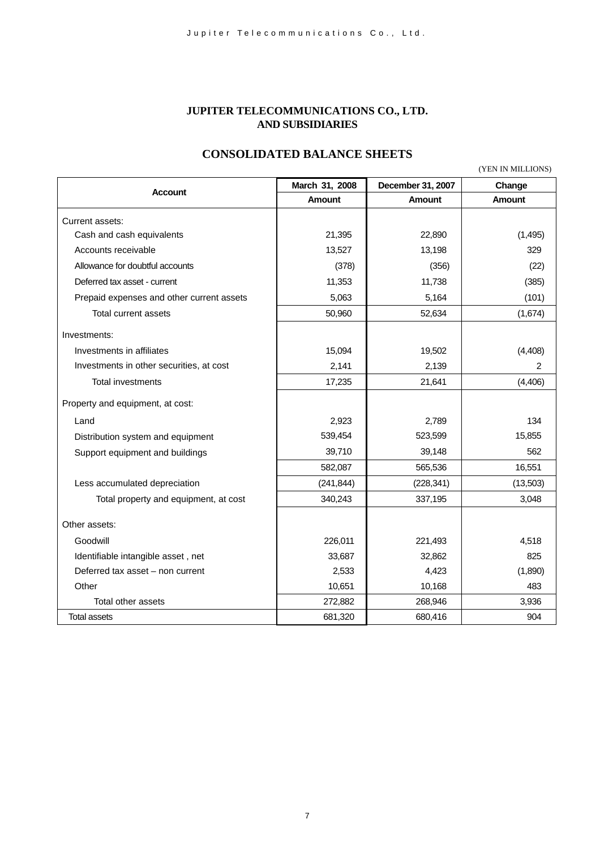### **JUPITER TELECOMMUNICATIONS CO., LTD. AND SUBSIDIARIES**

# **CONSOLIDATED BALANCE SHEETS**

(YEN IN MILLIONS)

| <b>Account</b>                            | March 31, 2008 | December 31, 2007 | Change        |
|-------------------------------------------|----------------|-------------------|---------------|
|                                           | <b>Amount</b>  | <b>Amount</b>     | <b>Amount</b> |
| Current assets:                           |                |                   |               |
| Cash and cash equivalents                 | 21,395         | 22,890            | (1, 495)      |
| Accounts receivable                       | 13,527         | 13,198            | 329           |
| Allowance for doubtful accounts           | (378)          | (356)             | (22)          |
| Deferred tax asset - current              | 11,353         | 11,738            | (385)         |
| Prepaid expenses and other current assets | 5,063          | 5,164             | (101)         |
| Total current assets                      | 50,960         | 52,634            | (1,674)       |
| Investments:                              |                |                   |               |
| Investments in affiliates                 | 15,094         | 19,502            | (4, 408)      |
| Investments in other securities, at cost  | 2,141          | 2,139             | 2             |
| Total investments                         | 17,235         | 21,641            | (4, 406)      |
| Property and equipment, at cost:          |                |                   |               |
| Land                                      | 2,923          | 2,789             | 134           |
| Distribution system and equipment         | 539,454        | 523,599           | 15,855        |
| Support equipment and buildings           | 39,710         | 39,148            | 562           |
|                                           | 582,087        | 565,536           | 16,551        |
| Less accumulated depreciation             | (241, 844)     | (228, 341)        | (13,503)      |
| Total property and equipment, at cost     | 340,243        | 337,195           | 3,048         |
| Other assets:                             |                |                   |               |
| Goodwill                                  | 226,011        | 221,493           | 4,518         |
| Identifiable intangible asset, net        | 33,687         | 32,862            | 825           |
| Deferred tax asset - non current          | 2,533          | 4,423             | (1,890)       |
| Other                                     | 10,651         | 10,168            | 483           |
| Total other assets                        | 272,882        | 268,946           | 3,936         |
| <b>Total assets</b>                       | 681,320        | 680,416           | 904           |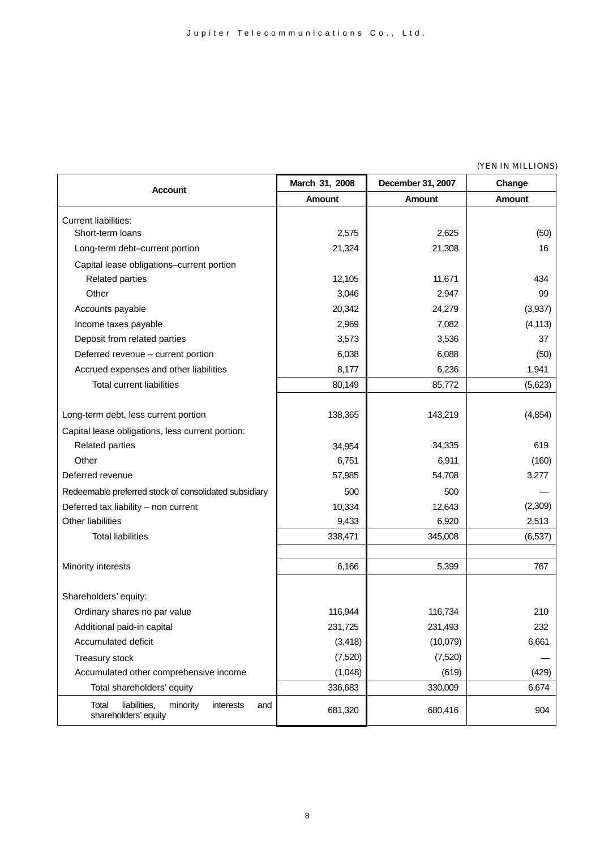#### (YEN IN MILLIONS)

|                                                                               | March 31, 2008 | December 31, 2007 | Change        |
|-------------------------------------------------------------------------------|----------------|-------------------|---------------|
| Account                                                                       | <b>Amount</b>  | <b>Amount</b>     | <b>Amount</b> |
| <b>Current liabilities:</b>                                                   |                |                   |               |
| Short-term loans                                                              | 2,575          | 2,625             | (50)          |
| Long-term debt-current portion                                                | 21,324         | 21,308            | 16            |
| Capital lease obligations-current portion                                     |                |                   |               |
| <b>Related parties</b>                                                        | 12,105         | 11,671            | 434           |
| Other                                                                         | 3,046          | 2,947             | 99            |
| Accounts payable                                                              | 20,342         | 24,279            | (3,937)       |
| Income taxes payable                                                          | 2,969          | 7,082             | (4, 113)      |
| Deposit from related parties                                                  | 3,573          | 3,536             | 37            |
| Deferred revenue - current portion                                            | 6,038          | 6,088             | (50)          |
| Accrued expenses and other liabilities                                        | 8,177          | 6,236             | 1,941         |
| <b>Total current liabilities</b>                                              | 80,149         | 85,772            | (5,623)       |
|                                                                               |                |                   |               |
| Long-term debt, less current portion                                          | 138,365        | 143,219           | (4, 854)      |
| Capital lease obligations, less current portion:                              |                |                   |               |
| <b>Related parties</b>                                                        | 34,954         | 34,335            | 619           |
| Other                                                                         | 6,751          | 6,911             | (160)         |
| Deferred revenue                                                              | 57,985         | 54,708            | 3,277         |
| Redeemable preferred stock of consolidated subsidiary                         | 500            | 500               |               |
| Deferred tax liability - non current                                          | 10,334         | 12,643            | (2,309)       |
| <b>Other liabilities</b>                                                      | 9,433          | 6,920             | 2,513         |
| <b>Total liabilities</b>                                                      | 338,471        | 345,008           | (6, 537)      |
|                                                                               |                |                   |               |
| Minority interests                                                            | 6,166          | 5,399             | 767           |
|                                                                               |                |                   |               |
| Shareholders' equity:                                                         |                |                   |               |
| Ordinary shares no par value                                                  | 116,944        | 116,734           | 210           |
| Additional paid-in capital                                                    | 231,725        | 231,493           | 232           |
| Accumulated deficit                                                           | (3, 418)       | (10,079)          | 6,661         |
| Treasury stock                                                                | (7,520)        | (7,520)           |               |
| Accumulated other comprehensive income                                        | (1,048)        | (619)             | (429)         |
| Total shareholders' equity                                                    | 336,683        | 330,009           | 6,674         |
| liabilities,<br>Total<br>minority<br>interests<br>and<br>shareholders' equity | 681,320        | 680,416           | 904           |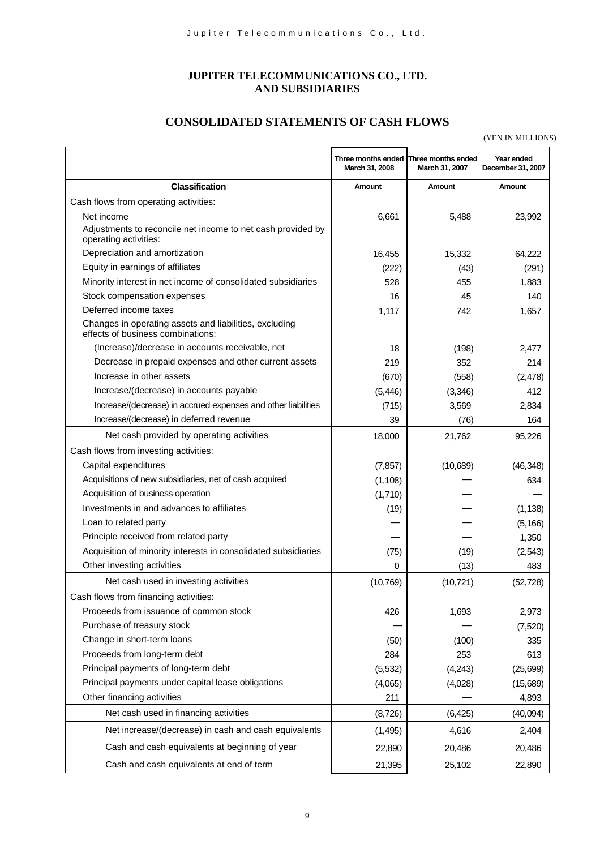## **JUPITER TELECOMMUNICATIONS CO., LTD. AND SUBSIDIARIES**

# **CONSOLIDATED STATEMENTS OF CASH FLOWS**

(YEN IN MILLIONS)

|                                                                                             | March 31, 2008 | Three months ended Three months ended<br>March 31, 2007 | Year ended<br>December 31, 2007 |
|---------------------------------------------------------------------------------------------|----------------|---------------------------------------------------------|---------------------------------|
| <b>Classification</b>                                                                       | Amount         | Amount                                                  | Amount                          |
| Cash flows from operating activities:                                                       |                |                                                         |                                 |
| Net income                                                                                  | 6,661          | 5,488                                                   | 23,992                          |
| Adjustments to reconcile net income to net cash provided by<br>operating activities:        |                |                                                         |                                 |
| Depreciation and amortization                                                               | 16,455         | 15,332                                                  | 64,222                          |
| Equity in earnings of affiliates                                                            | (222)          | (43)                                                    | (291)                           |
| Minority interest in net income of consolidated subsidiaries                                | 528            | 455                                                     | 1,883                           |
| Stock compensation expenses                                                                 | 16             | 45                                                      | 140                             |
| Deferred income taxes                                                                       | 1,117          | 742                                                     | 1,657                           |
| Changes in operating assets and liabilities, excluding<br>effects of business combinations: |                |                                                         |                                 |
| (Increase)/decrease in accounts receivable, net                                             | 18             | (198)                                                   | 2,477                           |
| Decrease in prepaid expenses and other current assets                                       | 219            | 352                                                     | 214                             |
| Increase in other assets                                                                    | (670)          | (558)                                                   | (2,478)                         |
| Increase/(decrease) in accounts payable                                                     | (5, 446)       | (3,346)                                                 | 412                             |
| Increase/(decrease) in accrued expenses and other liabilities                               | (715)          | 3,569                                                   | 2,834                           |
| Increase/(decrease) in deferred revenue                                                     | 39             | (76)                                                    | 164                             |
| Net cash provided by operating activities                                                   | 18,000         | 21,762                                                  | 95,226                          |
| Cash flows from investing activities:                                                       |                |                                                         |                                 |
| Capital expenditures                                                                        | (7, 857)       | (10,689)                                                | (46, 348)                       |
| Acquisitions of new subsidiaries, net of cash acquired                                      | (1, 108)       |                                                         | 634                             |
| Acquisition of business operation                                                           | (1,710)        |                                                         |                                 |
| Investments in and advances to affiliates                                                   | (19)           |                                                         | (1, 138)                        |
| Loan to related party                                                                       |                |                                                         | (5, 166)                        |
| Principle received from related party                                                       |                |                                                         | 1,350                           |
| Acquisition of minority interests in consolidated subsidiaries                              | (75)           | (19)                                                    | (2,543)                         |
| Other investing activities                                                                  | 0              | (13)                                                    | 483                             |
| Net cash used in investing activities                                                       | (10, 769)      | (10, 721)                                               | (52, 728)                       |
| Cash flows from financing activities:                                                       |                |                                                         |                                 |
| Proceeds from issuance of common stock                                                      | 426            | 1,693                                                   | 2,973                           |
| Purchase of treasury stock                                                                  |                |                                                         | (7,520)                         |
| Change in short-term loans                                                                  | (50)           | (100)                                                   | 335                             |
| Proceeds from long-term debt                                                                | 284            | 253                                                     | 613                             |
| Principal payments of long-term debt                                                        | (5,532)        | (4,243)                                                 | (25, 699)                       |
| Principal payments under capital lease obligations                                          | (4,065)        | (4,028)                                                 | (15,689)                        |
| Other financing activities                                                                  | 211            |                                                         | 4,893                           |
| Net cash used in financing activities                                                       | (8,726)        | (6, 425)                                                | (40,094)                        |
| Net increase/(decrease) in cash and cash equivalents                                        | (1, 495)       | 4,616                                                   | 2,404                           |
| Cash and cash equivalents at beginning of year                                              | 22,890         | 20,486                                                  | 20,486                          |
| Cash and cash equivalents at end of term                                                    | 21,395         | 25,102                                                  | 22,890                          |